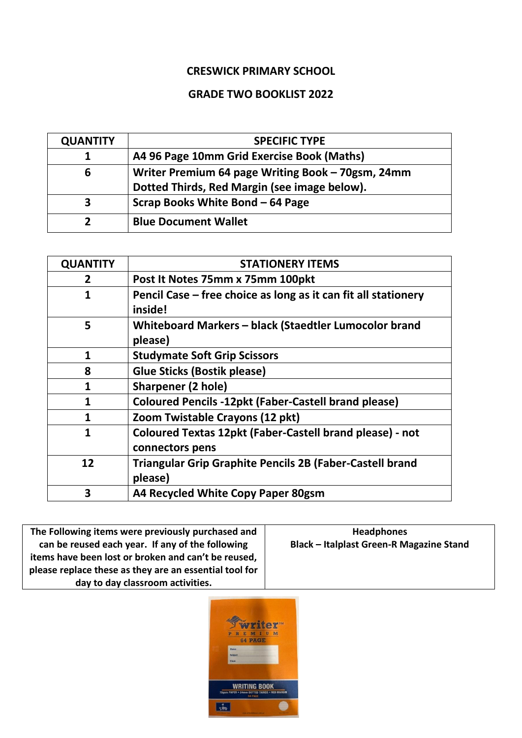## **CRESWICK PRIMARY SCHOOL**

## **GRADE TWO BOOKLIST 2022**

| <b>QUANTITY</b> | <b>SPECIFIC TYPE</b>                              |
|-----------------|---------------------------------------------------|
|                 | A4 96 Page 10mm Grid Exercise Book (Maths)        |
| 6               | Writer Premium 64 page Writing Book - 70gsm, 24mm |
|                 | Dotted Thirds, Red Margin (see image below).      |
|                 | Scrap Books White Bond – 64 Page                  |
|                 | <b>Blue Document Wallet</b>                       |

| <b>QUANTITY</b> | <b>STATIONERY ITEMS</b>                                                            |
|-----------------|------------------------------------------------------------------------------------|
| 2               | Post It Notes 75mm x 75mm 100pkt                                                   |
| 1               | Pencil Case – free choice as long as it can fit all stationery<br>inside!          |
| 5               | Whiteboard Markers - black (Staedtler Lumocolor brand<br>please)                   |
| 1               | <b>Studymate Soft Grip Scissors</b>                                                |
| 8               | <b>Glue Sticks (Bostik please)</b>                                                 |
| 1               | <b>Sharpener (2 hole)</b>                                                          |
| 1               | <b>Coloured Pencils -12pkt (Faber-Castell brand please)</b>                        |
| 1               | Zoom Twistable Crayons (12 pkt)                                                    |
| 1               | <b>Coloured Textas 12pkt (Faber-Castell brand please) - not</b><br>connectors pens |
| 12              | Triangular Grip Graphite Pencils 2B (Faber-Castell brand<br>please)                |
| 3               | A4 Recycled White Copy Paper 80gsm                                                 |

**The Following items were previously purchased and can be reused each year. If any of the following items have been lost or broken and can't be reused, please replace these as they are an essential tool for day to day classroom activities.**

**Headphones Black – Italplast Green-R Magazine Stand**